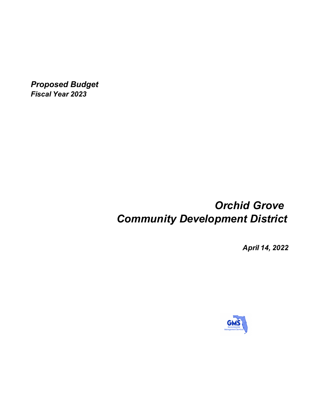*Proposed Budget Fiscal Year 2023*

# *Orchid Grove Community Development District*

*April 14, 2022*

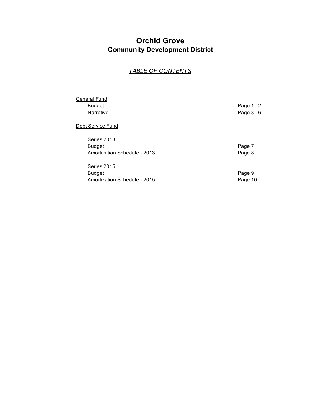## **Orchid Grove Community Development District**

## *TABLE OF CONTENTS*

| General Fund                 |            |
|------------------------------|------------|
| <b>Budget</b>                | Page 1 - 2 |
| Narrative                    | Page 3 - 6 |
| Debt Service Fund            |            |
| Series 2013                  |            |
| <b>Budget</b>                | Page 7     |
| Amortization Schedule - 2013 | Page 8     |
| Series 2015                  |            |
| <b>Budget</b>                | Page 9     |
| Amortization Schedule - 2015 | Page 10    |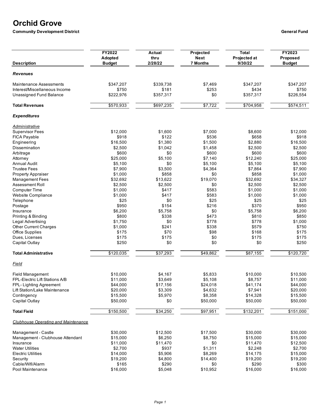## **Orchid Grove**

**Community Development District General Fund** 

| <b>Description</b>                         | <b>FY2022</b><br>Adopted<br><b>Budget</b> | Actual<br>thru<br>2/28/22 | Projected<br><b>Next</b><br><b>7 Months</b> | <b>Total</b><br>Projected at<br>9/30/22 | FY2023<br>Proposed<br><b>Budget</b> |
|--------------------------------------------|-------------------------------------------|---------------------------|---------------------------------------------|-----------------------------------------|-------------------------------------|
| <b>Revenues</b>                            |                                           |                           |                                             |                                         |                                     |
| <b>Maintenance Assessments</b>             | \$347,207                                 | \$339.738                 | \$7.469                                     | \$347,207                               | \$347,207                           |
| Interest/Miscellaneous Income              | \$750                                     | \$181                     | \$253                                       | \$434                                   | \$750                               |
| Unassigned Fund Balance                    | \$222,976                                 | \$357,317                 | \$0                                         | \$357,317                               | \$226,554                           |
|                                            |                                           |                           |                                             |                                         |                                     |
| <b>Total Revenues</b>                      | \$570,933                                 | \$697,235                 | \$7,722                                     | \$704,958                               | \$574,511                           |
| <b>Expenditures</b>                        |                                           |                           |                                             |                                         |                                     |
| Administrative                             |                                           |                           |                                             |                                         |                                     |
| <b>Supervisor Fees</b>                     | \$12,000                                  | \$1,600                   | \$7,000                                     | \$8,600                                 | \$12,000                            |
| <b>FICA Payable</b>                        | \$918                                     | \$122                     | \$536                                       | \$658                                   | \$918                               |
| Engineering                                | \$16,500                                  | \$1,380                   | \$1,500                                     | \$2,880                                 | \$16,500                            |
| <b>Dissemination</b>                       | \$2,500                                   | \$1,042                   | \$1,458                                     | \$2,500                                 | \$2,500                             |
| Arbitrage                                  | \$600                                     | \$0                       | \$600                                       | \$600                                   | \$600                               |
| Attorney                                   | \$25,000                                  | \$5,100                   | \$7,140                                     | \$12,240                                | \$25,000                            |
| <b>Annual Audit</b>                        | \$5,100                                   | \$0                       | \$5,100                                     | \$5,100                                 | \$5,100                             |
| <b>Trustee Fees</b>                        | \$7,900                                   | \$3,500                   | \$4,364                                     | \$7,864                                 | \$7,900                             |
| <b>Property Appraiser</b>                  | \$1,000                                   | \$858                     | \$0                                         | \$858                                   | \$1.000                             |
| <b>Management Fees</b>                     | \$32,692                                  | \$13,622                  | \$19,070                                    | \$32,692                                | \$34,327                            |
| Assessment Roll                            | \$2,500                                   | \$2,500                   | \$0                                         | \$2,500                                 | \$2,500                             |
| <b>Computer Time</b>                       | \$1,000                                   | \$417                     | \$583                                       | \$1,000                                 | \$1,000                             |
| <b>Website Compliance</b>                  | \$1,000                                   | \$417                     | \$583                                       | \$1,000                                 | \$1,000                             |
| Telephone                                  | \$25                                      | \$0                       | \$25                                        | \$25                                    | \$25                                |
| Postage                                    | \$950                                     | \$154                     | \$216                                       | \$370                                   | \$950                               |
|                                            |                                           |                           | \$0                                         |                                         |                                     |
| Insurance                                  | \$6,200                                   | \$5,758                   |                                             | \$5,758                                 | \$6,200                             |
| Printing & Binding                         | \$800                                     | \$338                     | \$473                                       | \$810                                   | \$850                               |
| Legal Advertising                          | \$1,750                                   | \$0                       | \$778                                       | \$778                                   | \$1,000                             |
| <b>Other Current Charges</b>               | \$1,000                                   | \$241                     | \$338                                       | \$579                                   | \$750                               |
| <b>Office Supplies</b>                     | \$175                                     | \$70                      | \$98                                        | \$168                                   | \$175                               |
| Dues, Licenses                             | \$175                                     | \$175                     | \$0                                         | \$175                                   | \$175                               |
| Capital Outlay                             | \$250                                     | \$0                       | \$0                                         | \$0                                     | \$250                               |
| <b>Total Administrative</b>                | \$120,035                                 | \$37,293                  | \$49,862                                    | \$87,155                                | \$120,720                           |
| Field                                      |                                           |                           |                                             |                                         |                                     |
| Field Management                           | \$10,000                                  | \$4.167                   | \$5,833                                     | \$10,000                                | \$10,500                            |
| FPL-Electric Lift Stations A/B             | \$11,000                                  | \$3.649                   | \$5,108                                     | \$8,757                                 | \$11,000                            |
| FPL- Lighting Agreement                    | \$44,000                                  | \$17,156                  | \$24,018                                    | \$41,174                                | \$44,000                            |
| Lift Station/Lake Maintenance              | \$20,000                                  | \$3,309                   | \$4,632                                     | \$7,941                                 | \$20,000                            |
| Contingency                                | \$15,500                                  | \$5,970                   | \$8,358                                     | \$14,328                                | \$15,500                            |
| Capital Outlay                             | \$50,000                                  | \$0                       | \$50,000                                    | \$50,000                                | \$50,000                            |
| <b>Total Field</b>                         | \$150,500                                 | \$34,250                  | \$97,951                                    | \$132,201                               | \$151,000                           |
| <b>Clubhouse Operating and Maintenance</b> |                                           |                           |                                             |                                         |                                     |
| Management - Castle                        | \$30,000                                  | \$12,500                  | \$17,500                                    | \$30.000                                | \$30,000                            |
| Management - Clubhouse Attendant           | \$15,000                                  | \$6,250                   | \$8,750                                     | \$15,000                                | \$15,000                            |
| Insurance                                  | \$11,000                                  | \$11,470                  | \$0                                         | \$11,470                                | \$12,500                            |
| <b>Water Utilities</b>                     | \$2,700                                   | \$937                     | \$1,311                                     | \$2,248                                 | \$2,700                             |
|                                            |                                           |                           |                                             |                                         |                                     |
| <b>Electric Utilities</b>                  | \$14,000                                  | \$5,906                   | \$8,269                                     | \$14,175                                | \$15,000                            |
| Security                                   | \$19,200                                  | \$4,800                   | \$14,400                                    | \$19,200                                | \$19,200                            |
| Cable/Wifi/Alarm                           | \$165                                     | \$290                     | \$0                                         | \$290                                   | \$300                               |
| Pool Maintenance                           | \$16,000                                  | \$5,048                   | \$10,952                                    | \$16,000                                | \$16,000                            |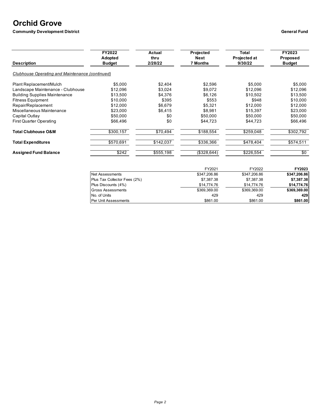# **Orchid Grove**

**Community Development District General Fund** 

| <b>Description</b>                              | FY2022<br>Adopted<br><b>Budget</b> | Actual<br>thru<br>2/28/22 | Projected<br>Next<br><b>7 Months</b> | Total<br>Projected at<br>9/30/22 | FY2023<br><b>Proposed</b><br><b>Budget</b> |
|-------------------------------------------------|------------------------------------|---------------------------|--------------------------------------|----------------------------------|--------------------------------------------|
| Clubhouse Operating and Maintenance (continued) |                                    |                           |                                      |                                  |                                            |
| Plant Replacement/Mulch                         | \$5,000                            | \$2,404                   | \$2,596                              | \$5,000                          | \$5,000                                    |
| Landscape Maintenance - Clubhouse               | \$12,096                           | \$3,024                   | \$9,072                              | \$12,096                         | \$12,096                                   |
| <b>Building Supplies Maintenance</b>            | \$13,500                           | \$4,376                   | \$6,126                              | \$10,502                         | \$13,500                                   |
| <b>Fitness Equipment</b>                        | \$10,000                           | \$395                     | \$553                                | \$948                            | \$10,000                                   |
| Repair/Replacement                              | \$12,000                           | \$6,679                   | \$5,321                              | \$12,000                         | \$12,000                                   |
| Miscellaneous Maintenance                       | \$23,000                           | \$6,415                   | \$8,981                              | \$15,397                         | \$23,000                                   |
| Capital Outlay                                  | \$50,000                           | \$0                       | \$50,000                             | \$50,000                         | \$50,000                                   |
| <b>First Quarter Operating</b>                  | \$66,496                           | \$0                       | \$44,723                             | \$44,723                         | \$66,496                                   |
| <b>Total Clubhouse O&amp;M</b>                  | \$300,157                          | \$70,494                  | \$188,554                            | \$259,048                        | \$302,792                                  |
| <b>Total Expenditures</b>                       | \$570,691                          | \$142,037                 | \$336,366                            | \$478,404                        | \$574,511                                  |
| <b>Assigned Fund Balance</b>                    | \$242                              | \$555,198                 | (\$328,644)                          | \$226,554                        | \$0                                        |
|                                                 |                                    |                           | FY2021                               | FY2022                           | FY2023                                     |

|                              | FY2021       | FY2022       | <b>FY2023</b> |
|------------------------------|--------------|--------------|---------------|
| Net Assessments              | \$347.206.86 | \$347,206.86 | \$347.206.86  |
| Plus Tax Collector Fees (2%) | \$7,387.38   | \$7,387.38   | \$7,387.38    |
| Plus Discounts (4%)          | \$14,774.76  | \$14,774.76  | \$14,774.76   |
| <b>Gross Assessments</b>     | \$369.369.00 | \$369,369.00 | \$369,369.00  |
| No. of Units                 | 429          | 429          | 429           |
| <b>Per Unit Assessments</b>  | \$861.00     | \$861.00     | \$861.00      |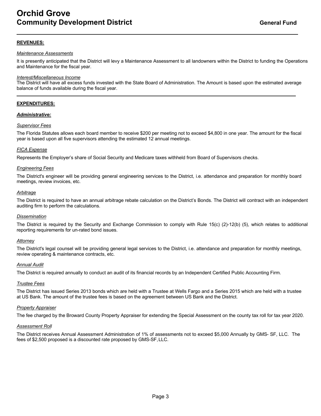### **REVENUES:**

#### *Maintenance Assessments*

It is presently anticipated that the District will levy a Maintenance Assessment to all landowners within the District to funding the Operations and Maintenance for the fiscal year.

#### *Interest/Miscellaneous Income*

The District will have all excess funds invested with the State Board of Administration. The Amount is based upon the estimated average balance of funds available during the fiscal year.

#### **EXPENDITURES:**

#### *Administrative:*

#### *Supervisor Fees*

The Florida Statutes allows each board member to receive \$200 per meeting not to exceed \$4,800 in one year. The amount for the fiscal year is based upon all five supervisors attending the estimated 12 annual meetings.

#### *FICA Expense*

Represents the Employer's share of Social Security and Medicare taxes withheld from Board of Supervisors checks.

#### *Engineering Fees*

The District's engineer will be providing general engineering services to the District, i.e. attendance and preparation for monthly board meetings, review invoices, etc.

#### *Arbitrage*

The District is required to have an annual arbitrage rebate calculation on the District's Bonds. The District will contract with an independent auditing firm to perform the calculations.

#### *Dissemination*

The District is required by the Security and Exchange Commission to comply with Rule 15(c) (2)-12(b) (5), which relates to additional reporting requirements for un-rated bond issues.

#### *Attorney*

The District's legal counsel will be providing general legal services to the District, i.e. attendance and preparation for monthly meetings, review operating & maintenance contracts, etc.

#### *Annual Audit*

The District is required annually to conduct an audit of its financial records by an Independent Certified Public Accounting Firm.

#### *Trustee Fees*

The District has issued Series 2013 bonds which are held with a Trustee at Wells Fargo and a Series 2015 which are held with a trustee at US Bank. The amount of the trustee fees is based on the agreement between US Bank and the District.

#### *Property Appraiser*

The fee charged by the Broward County Property Appraiser for extending the Special Assessment on the county tax roll for tax year 2020.

#### *Assessment Roll*

The District receives Annual Assessment Administration of 1% of assessments not to exceed \$5,000 Annually by GMS- SF, LLC. The fees of \$2,500 proposed is a discounted rate proposed by GMS-SF,LLC.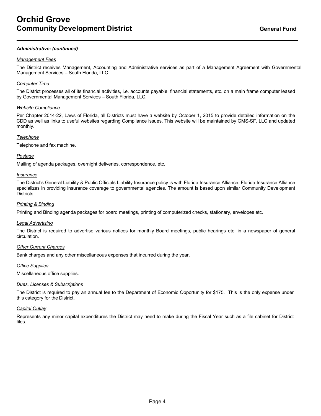#### *Administrative: (continued)*

#### *Management Fees*

The District receives Management, Accounting and Administrative services as part of a Management Agreement with Governmental Management Services – South Florida, LLC.

#### *Computer Time*

The District processes all of its financial activities, i.e. accounts payable, financial statements, etc. on a main frame computer leased by Governmental Management Services – South Florida, LLC.

#### *Website Compliance*

Per Chapter 2014-22, Laws of Florida, all Districts must have a website by October 1, 2015 to provide detailed information on the CDD as well as links to useful websites regarding Compliance issues. This website will be maintained by GMS-SF, LLC and updated monthly.

#### *Telephone*

Telephone and fax machine.

#### *Postage*

Mailing of agenda packages, overnight deliveries, correspondence, etc.

#### *Insurance*

The District's General Liability & Public Officials Liability Insurance policy is with Florida Insurance Alliance. Florida Insurance Alliance specializes in providing insurance coverage to governmental agencies. The amount is based upon similar Community Development Districts.

#### *Printing & Binding*

Printing and Binding agenda packages for board meetings, printing of computerized checks, stationary, envelopes etc.

#### *Legal Advertising*

The District is required to advertise various notices for monthly Board meetings, public hearings etc. in a newspaper of general circulation.

#### *Other Current Charges*

Bank charges and any other miscellaneous expenses that incurred during the year.

#### *Office Supplies*

Miscellaneous office supplies.

#### *Dues, Licenses & Subscriptions*

The District is required to pay an annual fee to the Department of Economic Opportunity for \$175. This is the only expense under this category for the District.

#### *Capital Outlay*

Represents any minor capital expenditures the District may need to make during the Fiscal Year such as a file cabinet for District files.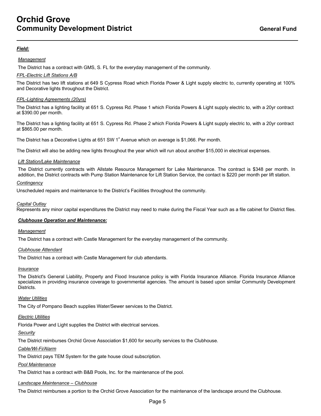### *Field:*

#### *Management*

The District has a contract with GMS, S. FL for the everyday management of the community.

#### *FPL-Electric Lift Stations A/B*

The District has two lift stations at 649 S Cypress Road which Florida Power & Light supply electric to, currently operating at 100% and Decorative lights throughout the District.

#### *FPL-Lighting Agreements (20yrs)*

The District has a lighting facility at 651 S. Cypress Rd. Phase 1 which Florida Powers & Light supply electric to, with a 20yr contract at \$390.00 per month.

The District has a lighting facility at 651 S. Cypress Rd. Phase 2 which Florida Powers & Light supply electric to, with a 20yr contract at \$865.00 per month.

The District has a Decorative Lights at 651 SW  $1^{\circ}$  Avenue which on average is \$1,066. Per month.

The District will also be adding new lights throughout the year which will run about another \$15,000 in electrical expenses.

#### *Lift Station/Lake Maintenance*

The District currently contracts with Allstate Resource Management for Lake Maintenance. The contract is \$348 per month. In addition, the District contracts with Pump Station Maintenance for Lift Station Service, the contact is \$220 per month per lift station.

#### *Contingency*

Unscheduled repairs and maintenance to the District's Facilities throughout the community.

#### *Capital Outlay*

Represents any minor capital expenditures the District may need to make during the Fiscal Year such as a file cabinet for District files.

### *Clubhouse Operation and Maintenance:*

#### *Management*

The District has a contract with Castle Management for the everyday management of the community.

### *Clubhouse Attendant*

The District has a contract with Castle Management for club attendants.

#### *Insurance*

The District's General Liability, Property and Flood Insurance policy is with Florida Insurance Alliance. Florida Insurance Alliance specializes in providing insurance coverage to governmental agencies. The amount is based upon similar Community Development Districts.

#### *Water Utilities*

The City of Pompano Beach supplies Water/Sewer services to the District.

#### *Electric Utilities*

Florida Power and Light supplies the District with electrical services.

#### *Security*

The District reimburses Orchid Grove Association \$1,600 for security services to the Clubhouse.

#### *Cable/Wi-Fi/Alarm*

The District pays TEM System for the gate house cloud subscription.

#### *Pool Maintenance*

The District has a contract with B&B Pools, Inc. for the maintenance of the pool.

#### *Landscape Maintenance – Clubhouse*

The District reimburses a portion to the Orchid Grove Association for the maintenance of the landscape around the Clubhouse.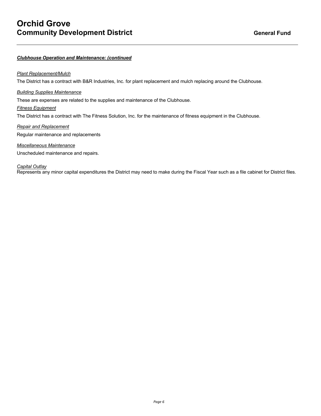#### *Clubhouse Operation and Maintenance: (continued*

#### *Plant Replacement/Mulch*

The District has a contract with B&R Industries, Inc. for plant replacement and mulch replacing around the Clubhouse.

#### *Building Supplies Maintenance*

These are expenses are related to the supplies and maintenance of the Clubhouse.

#### *Fitness Equipment*

The District has a contract with The Fitness Solution, Inc. for the maintenance of fitness equipment in the Clubhouse.

### *Repair and Replacement* Regular maintenance and replacements

*Miscellaneous Maintenance* Unscheduled maintenance and repairs.

#### *Capital Outlay*

Represents any minor capital expenditures the District may need to make during the Fiscal Year such as a file cabinet for District files.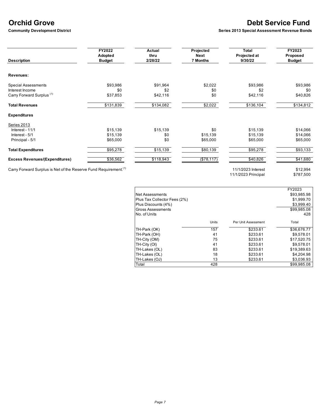# **Orchid Grove**<br> **Community Development District**<br> **Community Development District**<br> **Community Development District**

**Series 2013 Special Assessment Revenue Bonds** 

| <b>Description</b>                    | FY2022<br>Adopted<br><b>Budget</b> | Actual<br>thru<br>2/28/22 | Projected<br><b>Next</b><br><b>7 Months</b> | Total<br>Projected at<br>9/30/22 | FY2023<br>Proposed<br><b>Budget</b> |
|---------------------------------------|------------------------------------|---------------------------|---------------------------------------------|----------------------------------|-------------------------------------|
| Revenues:                             |                                    |                           |                                             |                                  |                                     |
| <b>Special Assessments</b>            | \$93,986                           | \$91,964                  | \$2,022                                     | \$93,986                         | \$93,986                            |
| Interest Income                       | \$0                                | \$2                       | \$0                                         | \$2                              | \$0                                 |
| Carry Forward Surplus <sup>(1)</sup>  | \$37,853                           | \$42,116                  | \$0                                         | \$42,116                         | \$40,826                            |
| <b>Total Revenues</b>                 | \$131,839                          | \$134,082                 | \$2,022                                     | \$136,104                        | \$134,812                           |
| <b>Expenditures</b>                   |                                    |                           |                                             |                                  |                                     |
| Series 2013                           |                                    |                           |                                             |                                  |                                     |
| Interest - 11/1                       | \$15,139                           | \$15,139                  | \$0                                         | \$15,139                         | \$14,066                            |
| Interest - 5/1                        | \$15,139                           | \$0                       | \$15,139                                    | \$15,139                         | \$14,066                            |
| Principal - 5/1                       | \$65,000                           | \$0                       | \$65,000                                    | \$65,000                         | \$65,000                            |
| <b>Total Expenditures</b>             | \$95,278                           | \$15,139                  | \$80,139                                    | \$95,278                         | \$93,133                            |
| <b>Excess Revenues/(Expenditures)</b> | \$36,562                           | \$118,943                 | (\$78,117)                                  | \$40,826                         | \$41,680                            |

Carry Forward Surplus is Net of the Reserve Fund Requirement.<sup>(1)</sup> 11/1/2023 **11/1/2023** Interest \$12,994<br>\$787,500 11/1/2023 Principal

|                              |       |                     | FY2023      |
|------------------------------|-------|---------------------|-------------|
| Net Assessments              |       |                     | \$93,985.98 |
| Plus Tax Collector Fees (2%) |       |                     | \$1,999.70  |
| Plus Discounts (4%)          |       |                     | \$3,999.40  |
| <b>Gross Assessments</b>     |       |                     | \$99,985.08 |
| No. of Units                 |       |                     | 428         |
|                              | Units | Per Unit Assessment | Total       |
| TH-Park (OK)                 | 157   | \$233.61            | \$36,676.77 |
| TH-Park (OH)                 | 41    | \$233.61            | \$9,578.01  |
| TH-City (OM)                 | 75    | \$233.61            | \$17,520.75 |
| TH-City (OI)                 | 41    | \$233.61            | \$9,578.01  |
| TH-Lakes (OL)                | 83    | \$233.61            | \$19,389.63 |
| TH-Lakes (OL)                | 18    | \$233.61            | \$4,204.98  |
| TH-Lakes (OJ)                | 13    | \$233.61            | \$3,036.93  |
| Total                        | 428   |                     | \$99.985.08 |

11/1/2023 Principal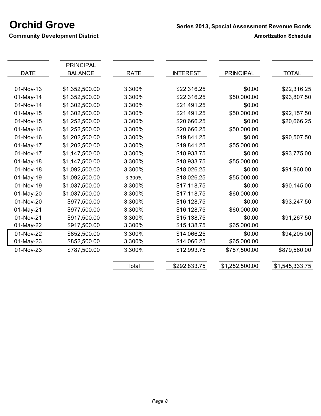**Community Development District <b>Amortization Schedule Amortization Schedule** 

|             | <b>PRINCIPAL</b> |             |                 |                  |                |
|-------------|------------------|-------------|-----------------|------------------|----------------|
| <b>DATE</b> | <b>BALANCE</b>   | <b>RATE</b> | <b>INTEREST</b> | <b>PRINCIPAL</b> | <b>TOTAL</b>   |
| 01-Nov-13   | \$1,352,500.00   | 3.300%      | \$22,316.25     | \$0.00           | \$22,316.25    |
| 01-May-14   | \$1,352,500.00   | 3.300%      | \$22,316.25     | \$50,000.00      | \$93,807.50    |
| 01-Nov-14   | \$1,302,500.00   | 3.300%      | \$21,491.25     | \$0.00           |                |
| 01-May-15   | \$1,302,500.00   | 3.300%      | \$21,491.25     | \$50,000.00      | \$92,157.50    |
| 01-Nov-15   | \$1,252,500.00   | 3.300%      | \$20,666.25     | \$0.00           | \$20,666.25    |
| 01-May-16   | \$1,252,500.00   | 3.300%      | \$20,666.25     | \$50,000.00      |                |
| 01-Nov-16   | \$1,202,500.00   | 3.300%      | \$19,841.25     | \$0.00           | \$90,507.50    |
| 01-May-17   | \$1,202,500.00   | 3.300%      | \$19,841.25     | \$55,000.00      |                |
| 01-Nov-17   | \$1,147,500.00   | 3.300%      | \$18,933.75     | \$0.00           | \$93,775.00    |
| 01-May-18   | \$1,147,500.00   | 3.300%      | \$18,933.75     | \$55,000.00      |                |
| 01-Nov-18   | \$1,092,500.00   | 3.300%      | \$18,026.25     | \$0.00           | \$91,960.00    |
| 01-May-19   | \$1,092,500.00   | 3.300%      | \$18,026.25     | \$55,000.00      |                |
| 01-Nov-19   | \$1,037,500.00   | 3.300%      | \$17,118.75     | \$0.00           | \$90,145.00    |
| 01-May-20   | \$1,037,500.00   | 3.300%      | \$17,118.75     | \$60,000.00      |                |
| 01-Nov-20   | \$977,500.00     | 3.300%      | \$16,128.75     | \$0.00           | \$93,247.50    |
| 01-May-21   | \$977,500.00     | 3.300%      | \$16,128.75     | \$60,000.00      |                |
| 01-Nov-21   | \$917,500.00     | 3.300%      | \$15,138.75     | \$0.00           | \$91,267.50    |
| 01-May-22   | \$917,500.00     | 3.300%      | \$15,138.75     | \$65,000.00      |                |
| 01-Nov-22   | \$852,500.00     | 3.300%      | \$14,066.25     | \$0.00           | \$94,205.00    |
| 01-May-23   | \$852,500.00     | 3.300%      | \$14,066.25     | \$65,000.00      |                |
| 01-Nov-23   | \$787,500.00     | 3.300%      | \$12,993.75     | \$787,500.00     | \$879,560.00   |
|             |                  | Total       | \$292,833.75    | \$1,252,500.00   | \$1,545,333.75 |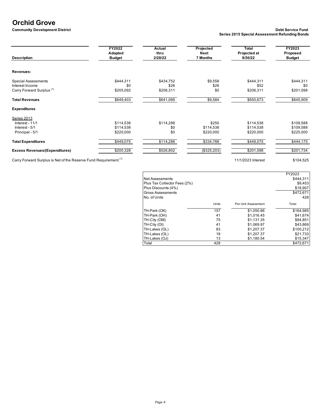# **Orchid Grove**<br> **Community Development District**

#### **Community Development District Debt Service Fund Series 2015 Special Assessment Refunding Bonds**

|                                                                                                             | 7 Months                         | 9/30/22   | <b>Budget</b>    |
|-------------------------------------------------------------------------------------------------------------|----------------------------------|-----------|------------------|
|                                                                                                             |                                  |           |                  |
| \$434,752                                                                                                   | \$9,558                          | \$444,311 | \$444,311        |
| \$206,311                                                                                                   | \$0                              | \$206,311 | \$0<br>\$201,598 |
| \$641,089                                                                                                   | \$9,584                          | \$650,673 | \$645,909        |
|                                                                                                             |                                  |           |                  |
|                                                                                                             |                                  |           |                  |
| \$114,288                                                                                                   | \$250                            | \$114,538 | \$109,588        |
| \$0                                                                                                         | \$114,538                        | \$114,538 | \$109,588        |
| \$0                                                                                                         | \$220,000                        | \$220,000 | \$225,000        |
| \$114,288                                                                                                   | \$334,788                        | \$449,075 | \$444,175        |
| \$526,802                                                                                                   | (\$325,203)                      | \$201,598 | \$201,734        |
| \$444,311<br>\$0<br>\$205,092<br>\$649,403<br>\$114,538<br>\$114,538<br>\$220,000<br>\$449,075<br>\$200,328 | 2/28/22<br><b>Budget</b><br>\$26 | \$26      | \$52             |

Carry Forward Surplus is Net of the Reserve Fund Requirement.<sup>(1)</sup> 11/1/2023 Interest \$104,525

|                              |       |                     | FY2023    |
|------------------------------|-------|---------------------|-----------|
| <b>Net Assessments</b>       |       |                     | \$444.311 |
| Plus Tax Collector Fees (2%) |       |                     | \$9,453   |
| Plus Discounts (4%)          |       |                     | \$18,907  |
| <b>Gross Assessments</b>     |       |                     | \$472,671 |
| No. of Units                 |       |                     | 428       |
|                              | Units | Per Unit Assessment | Total     |
| TH-Park (OK)                 | 157   | \$1.050.86          | \$164.985 |
| TH-Park (OH)                 | 41    | \$1.016.45          | \$41.674  |
| TH-City (OM)                 | 75    | \$1,131.35          | \$84,851  |
| TH-City (OI)                 | 41    | \$1,069.97          | \$43,869  |
| TH-Lakes (OL)                | 83    | \$1,207.37          | \$100.212 |
| TH-Lakes (OL)                | 18    | \$1,207.37          | \$21,733  |
| TH-Lakes (OJ)                | 13    | \$1,180.54          | \$15,347  |
| Total                        | 428   |                     | \$472,671 |